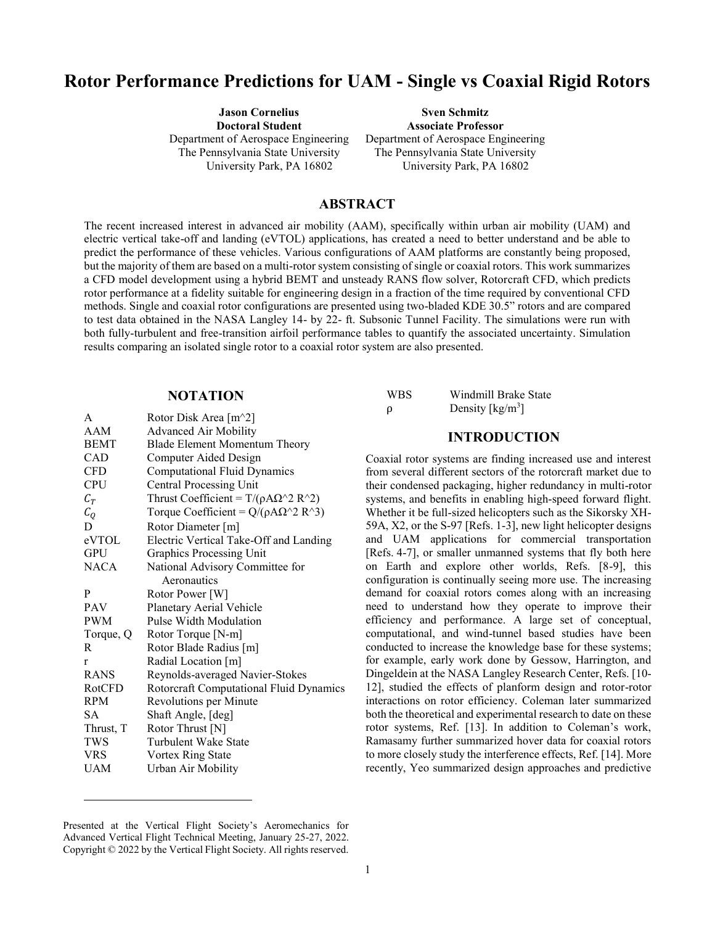# **Rotor Performance Predictions for UAM - Single vs Coaxial Rigid Rotors**

**Jason Cornelius Doctoral Student** Department of Aerospace Engineering The Pennsylvania State University University Park, PA 16802

**Sven Schmitz Associate Professor** Department of Aerospace Engineering The Pennsylvania State University University Park, PA 16802

#### **ABSTRACT**

The recent increased interest in advanced air mobility (AAM), specifically within urban air mobility (UAM) and electric vertical take-off and landing (eVTOL) applications, has created a need to better understand and be able to predict the performance of these vehicles. Various configurations of AAM platforms are constantly being proposed, but the majority of them are based on a multi-rotor system consisting of single or coaxial rotors. This work summarizes a CFD model development using a hybrid BEMT and unsteady RANS flow solver, Rotorcraft CFD, which predicts rotor performance at a fidelity suitable for engineering design in a fraction of the time required by conventional CFD methods. Single and coaxial rotor configurations are presented using two-bladed KDE 30.5" rotors and are compared to test data obtained in the NASA Langley 14- by 22- ft. Subsonic Tunnel Facility. The simulations were run with both fully-turbulent and free-transition airfoil performance tables to quantify the associated uncertainty. Simulation results comparing an isolated single rotor to a coaxial rotor system are also presented.

#### **NOTATION**

| A               | Rotor Disk Area [m <sup>^2</sup> ]             |
|-----------------|------------------------------------------------|
| AAM             | <b>Advanced Air Mobility</b>                   |
| <b>BEMT</b>     | <b>Blade Element Momentum Theory</b>           |
| CAD             | Computer Aided Design                          |
| CFD             | <b>Computational Fluid Dynamics</b>            |
| CPU             | <b>Central Processing Unit</b>                 |
| $C_T$           | Thrust Coefficient = $T/(\rho A \Omega^2 R^2)$ |
| $\mathcal{C}_O$ | Torque Coefficient = $Q/(\rho A \Omega^2 R^3)$ |
| D               | Rotor Diameter [m]                             |
| eVTOL           | Electric Vertical Take-Off and Landing         |
| GPU             | Graphics Processing Unit                       |
| <b>NACA</b>     | National Advisory Committee for                |
|                 | Aeronautics                                    |
| P               | Rotor Power [W]                                |
| <b>PAV</b>      | Planetary Aerial Vehicle                       |
| <b>PWM</b>      | <b>Pulse Width Modulation</b>                  |
| Torque, Q       | Rotor Torque [N-m]                             |
| R               | Rotor Blade Radius [m]                         |
| r               | Radial Location [m]                            |
| <b>RANS</b>     | Reynolds-averaged Navier-Stokes                |
| RotCFD          | Rotorcraft Computational Fluid Dynamics        |
| <b>RPM</b>      | Revolutions per Minute                         |
| SА              | Shaft Angle, [deg]                             |
| Thrust, T       | Rotor Thrust [N]                               |
| TWS             | Turbulent Wake State                           |
| <b>VRS</b>      | Vortex Ring State                              |
| UAM             | Urban Air Mobility                             |
|                 |                                                |

| <b>WBS</b> | Windmill Brake State |
|------------|----------------------|
| ρ          | Density $[kg/m3]$    |

## **INTRODUCTION <sup>1</sup>**

Coaxial rotor systems are finding increased use and interest from several different sectors of the rotorcraft market due to their condensed packaging, higher redundancy in multi-rotor systems, and benefits in enabling high-speed forward flight. Whether it be full-sized helicopters such as the Sikorsky XH-59A, X2, or the S-97 [Refs. 1-3], new light helicopter designs and UAM applications for commercial transportation [Refs. 4-7], or smaller unmanned systems that fly both here on Earth and explore other worlds, Refs. [8-9], this configuration is continually seeing more use. The increasing demand for coaxial rotors comes along with an increasing need to understand how they operate to improve their efficiency and performance. A large set of conceptual, computational, and wind-tunnel based studies have been conducted to increase the knowledge base for these systems; for example, early work done by Gessow, Harrington, and Dingeldein at the NASA Langley Research Center, Refs. [10- 12], studied the effects of planform design and rotor-rotor interactions on rotor efficiency. Coleman later summarized both the theoretical and experimental research to date on these rotor systems, Ref. [13]. In addition to Coleman's work, Ramasamy further summarized hover data for coaxial rotors to more closely study the interference effects, Ref. [14]. More recently, Yeo summarized design approaches and predictive

 $\overline{a}$ 

Presented at the Vertical Flight Society's Aeromechanics for Advanced Vertical Flight Technical Meeting, January 25-27, 2022. Copyright © 2022 by the Vertical Flight Society. All rights reserved.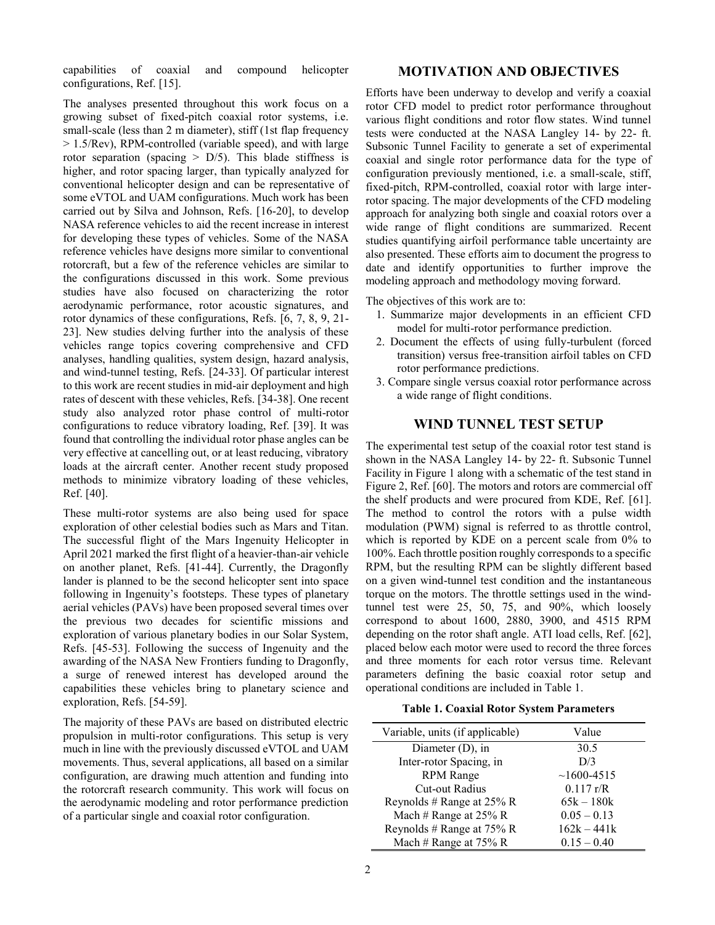capabilities of coaxial and compound helicopter configurations, Ref. [15].

The analyses presented throughout this work focus on a growing subset of fixed-pitch coaxial rotor systems, i.e. small-scale (less than 2 m diameter), stiff (1st flap frequency > 1.5/Rev), RPM-controlled (variable speed), and with large rotor separation (spacing  $> D/5$ ). This blade stiffness is higher, and rotor spacing larger, than typically analyzed for conventional helicopter design and can be representative of some eVTOL and UAM configurations. Much work has been carried out by Silva and Johnson, Refs. [16-20], to develop NASA reference vehicles to aid the recent increase in interest for developing these types of vehicles. Some of the NASA reference vehicles have designs more similar to conventional rotorcraft, but a few of the reference vehicles are similar to the configurations discussed in this work. Some previous studies have also focused on characterizing the rotor aerodynamic performance, rotor acoustic signatures, and rotor dynamics of these configurations, Refs. [6, 7, 8, 9, 21- 23]. New studies delving further into the analysis of these vehicles range topics covering comprehensive and CFD analyses, handling qualities, system design, hazard analysis, and wind-tunnel testing, Refs. [24-33]. Of particular interest to this work are recent studies in mid-air deployment and high rates of descent with these vehicles, Refs. [34-38]. One recent study also analyzed rotor phase control of multi-rotor configurations to reduce vibratory loading, Ref. [39]. It was found that controlling the individual rotor phase angles can be very effective at cancelling out, or at least reducing, vibratory loads at the aircraft center. Another recent study proposed methods to minimize vibratory loading of these vehicles, Ref. [40].

These multi-rotor systems are also being used for space exploration of other celestial bodies such as Mars and Titan. The successful flight of the Mars Ingenuity Helicopter in April 2021 marked the first flight of a heavier-than-air vehicle on another planet, Refs. [41-44]. Currently, the Dragonfly lander is planned to be the second helicopter sent into space following in Ingenuity's footsteps. These types of planetary aerial vehicles (PAVs) have been proposed several times over the previous two decades for scientific missions and exploration of various planetary bodies in our Solar System, Refs. [45-53]. Following the success of Ingenuity and the awarding of the NASA New Frontiers funding to Dragonfly, a surge of renewed interest has developed around the capabilities these vehicles bring to planetary science and exploration, Refs. [54-59].

The majority of these PAVs are based on distributed electric propulsion in multi-rotor configurations. This setup is very much in line with the previously discussed eVTOL and UAM movements. Thus, several applications, all based on a similar configuration, are drawing much attention and funding into the rotorcraft research community. This work will focus on the aerodynamic modeling and rotor performance prediction of a particular single and coaxial rotor configuration.

#### **MOTIVATION AND OBJECTIVES**

Efforts have been underway to develop and verify a coaxial rotor CFD model to predict rotor performance throughout various flight conditions and rotor flow states. Wind tunnel tests were conducted at the NASA Langley 14- by 22- ft. Subsonic Tunnel Facility to generate a set of experimental coaxial and single rotor performance data for the type of configuration previously mentioned, i.e. a small-scale, stiff, fixed-pitch, RPM-controlled, coaxial rotor with large interrotor spacing. The major developments of the CFD modeling approach for analyzing both single and coaxial rotors over a wide range of flight conditions are summarized. Recent studies quantifying airfoil performance table uncertainty are also presented. These efforts aim to document the progress to date and identify opportunities to further improve the modeling approach and methodology moving forward.

The objectives of this work are to:

- 1. Summarize major developments in an efficient CFD model for multi-rotor performance prediction.
- 2. Document the effects of using fully-turbulent (forced transition) versus free-transition airfoil tables on CFD rotor performance predictions.
- 3. Compare single versus coaxial rotor performance across a wide range of flight conditions.

#### **WIND TUNNEL TEST SETUP**

The experimental test setup of the coaxial rotor test stand is shown in the NASA Langley 14- by 22- ft. Subsonic Tunnel Facility in Figure 1 along with a schematic of the test stand in Figure 2, Ref. [60]. The motors and rotors are commercial off the shelf products and were procured from KDE, Ref. [61]. The method to control the rotors with a pulse width modulation (PWM) signal is referred to as throttle control, which is reported by KDE on a percent scale from 0% to 100%. Each throttle position roughly corresponds to a specific RPM, but the resulting RPM can be slightly different based on a given wind-tunnel test condition and the instantaneous torque on the motors. The throttle settings used in the windtunnel test were 25, 50, 75, and 90%, which loosely correspond to about 1600, 2880, 3900, and 4515 RPM depending on the rotor shaft angle. ATI load cells, Ref. [62], placed below each motor were used to record the three forces and three moments for each rotor versus time. Relevant parameters defining the basic coaxial rotor setup and operational conditions are included in Table 1.

#### **Table 1. Coaxial Rotor System Parameters**

| Variable, units (if applicable) | Value          |
|---------------------------------|----------------|
| Diameter $(D)$ , in             | 30.5           |
| Inter-rotor Spacing, in         | D/3            |
| <b>RPM</b> Range                | $~1600 - 4515$ |
| Cut-out Radius                  | 0.117 r/R      |
| Reynolds # Range at $25\%$ R    | $65k - 180k$   |
| Mach # Range at $25\%$ R        | $0.05 - 0.13$  |
| Reynolds # Range at $75\%$ R    | $162k - 441k$  |
| Mach # Range at $75\%$ R        | $0.15 - 0.40$  |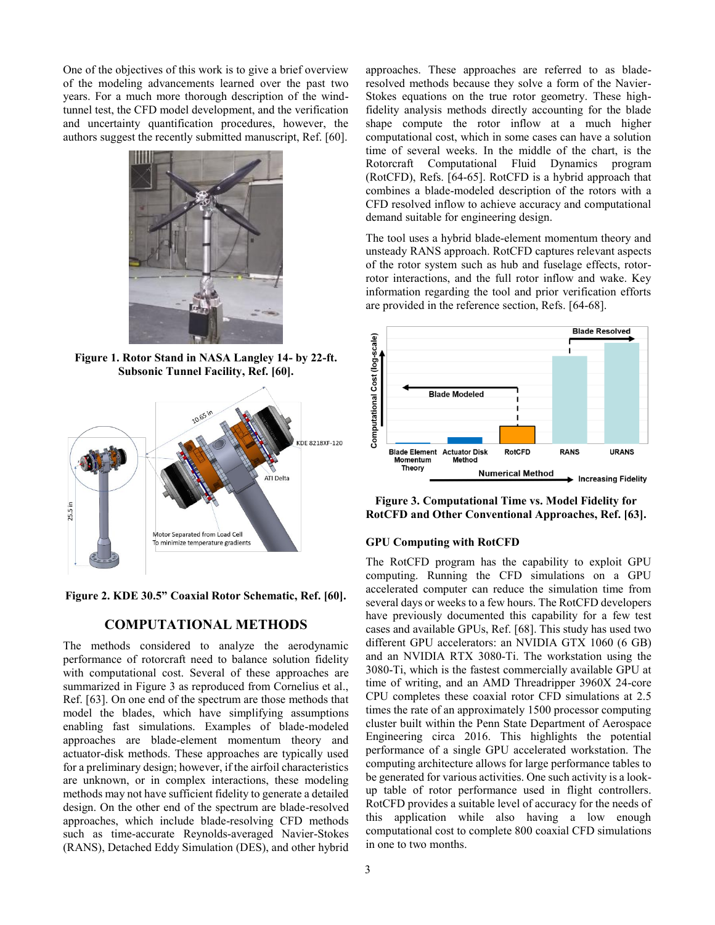One of the objectives of this work is to give a brief overview of the modeling advancements learned over the past two years. For a much more thorough description of the windtunnel test, the CFD model development, and the verification and uncertainty quantification procedures, however, the authors suggest the recently submitted manuscript, Ref. [60].



**Figure 1. Rotor Stand in NASA Langley 14- by 22-ft. Subsonic Tunnel Facility, Ref. [60].**



**Figure 2. KDE 30.5" Coaxial Rotor Schematic, Ref. [60].**

#### **COMPUTATIONAL METHODS**

The methods considered to analyze the aerodynamic performance of rotorcraft need to balance solution fidelity with computational cost. Several of these approaches are summarized in Figure 3 as reproduced from Cornelius et al., Ref. [63]. On one end of the spectrum are those methods that model the blades, which have simplifying assumptions enabling fast simulations. Examples of blade-modeled approaches are blade-element momentum theory and actuator-disk methods. These approaches are typically used for a preliminary design; however, if the airfoil characteristics are unknown, or in complex interactions, these modeling methods may not have sufficient fidelity to generate a detailed design. On the other end of the spectrum are blade-resolved approaches, which include blade-resolving CFD methods such as time-accurate Reynolds-averaged Navier-Stokes (RANS), Detached Eddy Simulation (DES), and other hybrid

approaches. These approaches are referred to as bladeresolved methods because they solve a form of the Navier-Stokes equations on the true rotor geometry. These highfidelity analysis methods directly accounting for the blade shape compute the rotor inflow at a much higher computational cost, which in some cases can have a solution time of several weeks. In the middle of the chart, is the Rotorcraft Computational Fluid Dynamics program (RotCFD), Refs. [64-65]. RotCFD is a hybrid approach that combines a blade-modeled description of the rotors with a CFD resolved inflow to achieve accuracy and computational demand suitable for engineering design.

The tool uses a hybrid blade-element momentum theory and unsteady RANS approach. RotCFD captures relevant aspects of the rotor system such as hub and fuselage effects, rotorrotor interactions, and the full rotor inflow and wake. Key information regarding the tool and prior verification efforts are provided in the reference section, Refs. [64-68].



**Figure 3. Computational Time vs. Model Fidelity for RotCFD and Other Conventional Approaches, Ref. [63].**

#### **GPU Computing with RotCFD**

The RotCFD program has the capability to exploit GPU computing. Running the CFD simulations on a GPU accelerated computer can reduce the simulation time from several days or weeks to a few hours. The RotCFD developers have previously documented this capability for a few test cases and available GPUs, Ref. [68]. This study has used two different GPU accelerators: an NVIDIA GTX 1060 (6 GB) and an NVIDIA RTX 3080-Ti. The workstation using the 3080-Ti, which is the fastest commercially available GPU at time of writing, and an AMD Threadripper 3960X 24-core CPU completes these coaxial rotor CFD simulations at 2.5 times the rate of an approximately 1500 processor computing cluster built within the Penn State Department of Aerospace Engineering circa 2016. This highlights the potential performance of a single GPU accelerated workstation. The computing architecture allows for large performance tables to be generated for various activities. One such activity is a lookup table of rotor performance used in flight controllers. RotCFD provides a suitable level of accuracy for the needs of this application while also having a low enough computational cost to complete 800 coaxial CFD simulations in one to two months.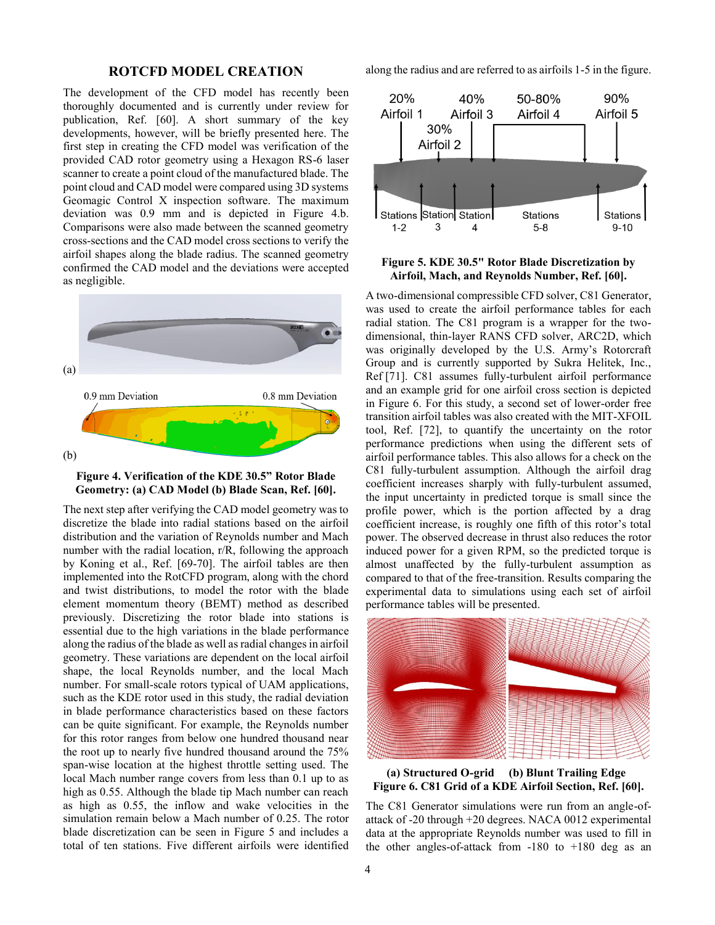#### **ROTCFD MODEL CREATION**

The development of the CFD model has recently been thoroughly documented and is currently under review for publication, Ref. [60]. A short summary of the key developments, however, will be briefly presented here. The first step in creating the CFD model was verification of the provided CAD rotor geometry using a Hexagon RS-6 laser scanner to create a point cloud of the manufactured blade. The point cloud and CAD model were compared using 3D systems Geomagic Control X inspection software. The maximum deviation was 0.9 mm and is depicted in Figure 4.b. Comparisons were also made between the scanned geometry cross-sections and the CAD model cross sections to verify the airfoil shapes along the blade radius. The scanned geometry confirmed the CAD model and the deviations were accepted as negligible.





The next step after verifying the CAD model geometry was to discretize the blade into radial stations based on the airfoil distribution and the variation of Reynolds number and Mach number with the radial location, r/R, following the approach by Koning et al., Ref. [69-70]. The airfoil tables are then implemented into the RotCFD program, along with the chord and twist distributions, to model the rotor with the blade element momentum theory (BEMT) method as described previously. Discretizing the rotor blade into stations is essential due to the high variations in the blade performance along the radius of the blade as well asradial changes in airfoil geometry. These variations are dependent on the local airfoil shape, the local Reynolds number, and the local Mach number. For small-scale rotors typical of UAM applications, such as the KDE rotor used in this study, the radial deviation in blade performance characteristics based on these factors can be quite significant. For example, the Reynolds number for this rotor ranges from below one hundred thousand near the root up to nearly five hundred thousand around the 75% span-wise location at the highest throttle setting used. The local Mach number range covers from less than 0.1 up to as high as 0.55. Although the blade tip Mach number can reach as high as 0.55, the inflow and wake velocities in the simulation remain below a Mach number of 0.25. The rotor blade discretization can be seen in Figure 5 and includes a total of ten stations. Five different airfoils were identified

along the radius and are referred to as airfoils 1-5 in the figure.



**Figure 5. KDE 30.5" Rotor Blade Discretization by Airfoil, Mach, and Reynolds Number, Ref. [60].**

A two-dimensional compressible CFD solver, C81 Generator, was used to create the airfoil performance tables for each radial station. The C81 program is a wrapper for the twodimensional, thin-layer RANS CFD solver, ARC2D, which was originally developed by the U.S. Army's Rotorcraft Group and is currently supported by Sukra Helitek, Inc., Ref [71]. C81 assumes fully-turbulent airfoil performance and an example grid for one airfoil cross section is depicted in Figure 6. For this study, a second set of lower-order free transition airfoil tables was also created with the MIT-XFOIL tool, Ref. [72], to quantify the uncertainty on the rotor performance predictions when using the different sets of airfoil performance tables. This also allows for a check on the C81 fully-turbulent assumption. Although the airfoil drag coefficient increases sharply with fully-turbulent assumed, the input uncertainty in predicted torque is small since the profile power, which is the portion affected by a drag coefficient increase, is roughly one fifth of this rotor's total power. The observed decrease in thrust also reduces the rotor induced power for a given RPM, so the predicted torque is almost unaffected by the fully-turbulent assumption as compared to that of the free-transition. Results comparing the experimental data to simulations using each set of airfoil performance tables will be presented.



**(a) Structured O-grid (b) Blunt Trailing Edge Figure 6. C81 Grid of a KDE Airfoil Section, Ref. [60].**

The C81 Generator simulations were run from an angle-ofattack of -20 through +20 degrees. NACA 0012 experimental data at the appropriate Reynolds number was used to fill in the other angles-of-attack from  $-180$  to  $+180$  deg as an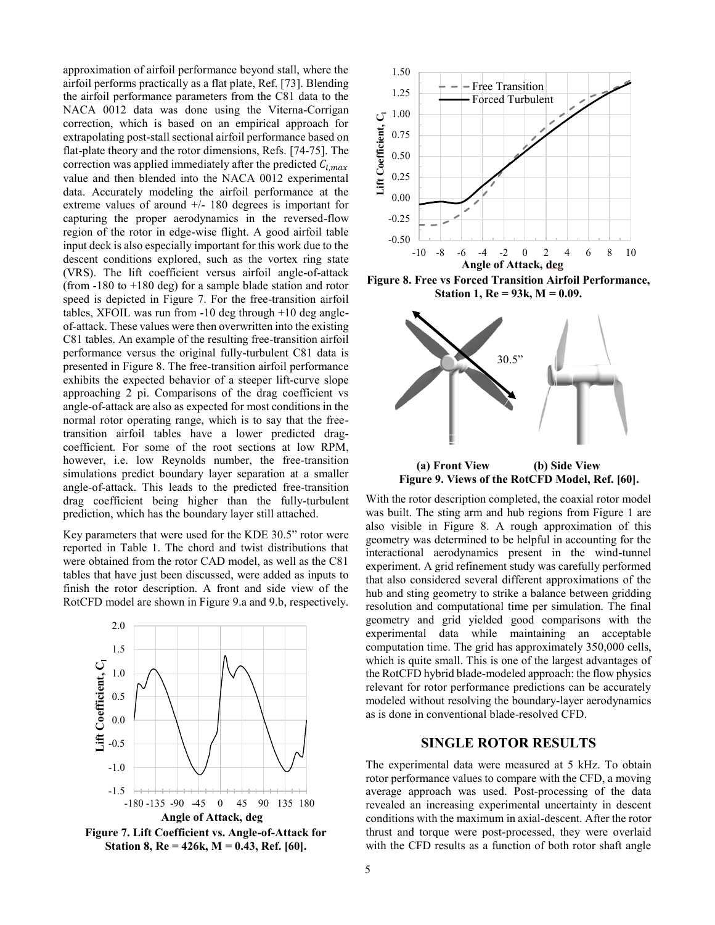approximation of airfoil performance beyond stall, where the airfoil performs practically as a flat plate, Ref. [73]. Blending the airfoil performance parameters from the C81 data to the NACA 0012 data was done using the Viterna-Corrigan correction, which is based on an empirical approach for extrapolating post-stall sectional airfoil performance based on flat-plate theory and the rotor dimensions, Refs. [74-75]. The correction was applied immediately after the predicted  $C_{l,max}$ value and then blended into the NACA 0012 experimental data. Accurately modeling the airfoil performance at the extreme values of around  $+/- 180$  degrees is important for capturing the proper aerodynamics in the reversed-flow region of the rotor in edge-wise flight. A good airfoil table input deck is also especially important for this work due to the descent conditions explored, such as the vortex ring state (VRS). The lift coefficient versus airfoil angle-of-attack (from -180 to +180 deg) for a sample blade station and rotor speed is depicted in Figure 7. For the free-transition airfoil tables, XFOIL was run from -10 deg through +10 deg angleof-attack. These values were then overwritten into the existing C81 tables. An example of the resulting free-transition airfoil performance versus the original fully-turbulent C81 data is presented in Figure 8. The free-transition airfoil performance exhibits the expected behavior of a steeper lift-curve slope approaching 2 pi. Comparisons of the drag coefficient vs angle-of-attack are also as expected for most conditions in the normal rotor operating range, which is to say that the freetransition airfoil tables have a lower predicted dragcoefficient. For some of the root sections at low RPM, however, i.e. low Reynolds number, the free-transition simulations predict boundary layer separation at a smaller angle-of-attack. This leads to the predicted free-transition drag coefficient being higher than the fully-turbulent prediction, which has the boundary layer still attached.

Key parameters that were used for the KDE 30.5" rotor were reported in Table 1. The chord and twist distributions that were obtained from the rotor CAD model, as well as the C81 tables that have just been discussed, were added as inputs to finish the rotor description. A front and side view of the RotCFD model are shown in Figure 9.a and 9.b, respectively.



**Figure 7. Lift Coefficient vs. Angle-of-Attack for Station 8, Re = 426k, M = 0.43, Ref. [60].**



**Figure 8. Free vs Forced Transition Airfoil Performance, Station 1, Re = 93k, M = 0.09.**



**Figure 9. Views of the RotCFD Model, Ref. [60].**

With the rotor description completed, the coaxial rotor model was built. The sting arm and hub regions from Figure 1 are also visible in Figure 8. A rough approximation of this geometry was determined to be helpful in accounting for the interactional aerodynamics present in the wind-tunnel experiment. A grid refinement study was carefully performed that also considered several different approximations of the hub and sting geometry to strike a balance between gridding resolution and computational time per simulation. The final geometry and grid yielded good comparisons with the experimental data while maintaining an acceptable computation time. The grid has approximately 350,000 cells, which is quite small. This is one of the largest advantages of the RotCFD hybrid blade-modeled approach: the flow physics relevant for rotor performance predictions can be accurately modeled without resolving the boundary-layer aerodynamics as is done in conventional blade-resolved CFD.

#### **SINGLE ROTOR RESULTS**

The experimental data were measured at 5 kHz. To obtain rotor performance values to compare with the CFD, a moving average approach was used. Post-processing of the data revealed an increasing experimental uncertainty in descent conditions with the maximum in axial-descent. After the rotor thrust and torque were post-processed, they were overlaid with the CFD results as a function of both rotor shaft angle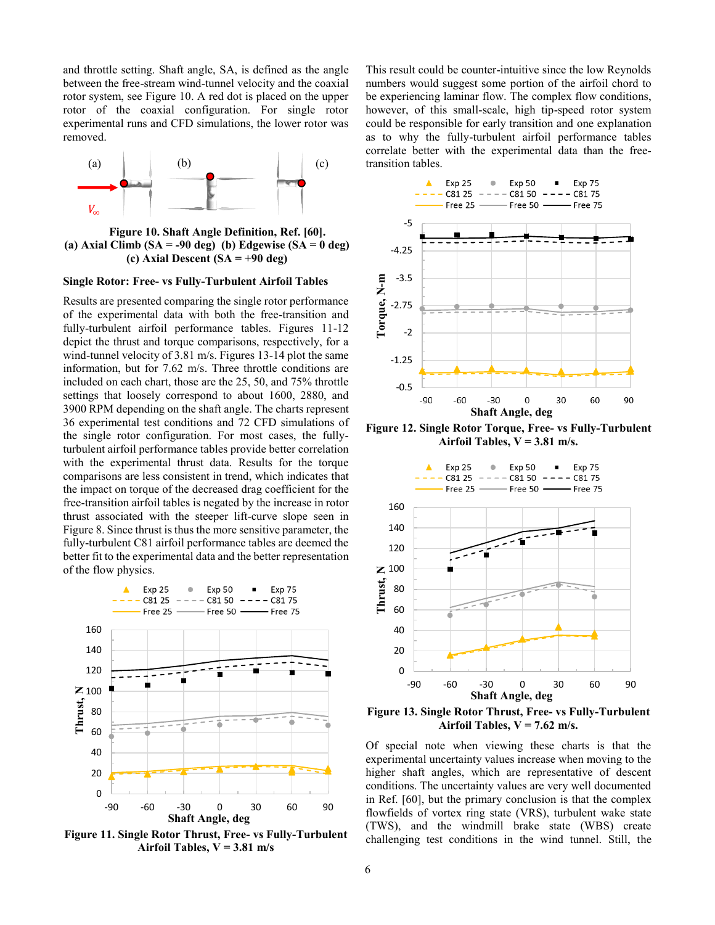and throttle setting. Shaft angle, SA, is defined as the angle between the free-stream wind-tunnel velocity and the coaxial rotor system, see Figure 10. A red dot is placed on the upper rotor of the coaxial configuration. For single rotor experimental runs and CFD simulations, the lower rotor was removed.



**Figure 10. Shaft Angle Definition, Ref. [60]. (a) Axial Climb (SA = -90 deg) (b) Edgewise (SA = 0 deg) (c) Axial Descent (SA = +90 deg)**

#### **Single Rotor: Free- vs Fully-Turbulent Airfoil Tables**

Results are presented comparing the single rotor performance of the experimental data with both the free-transition and fully-turbulent airfoil performance tables. Figures 11-12 depict the thrust and torque comparisons, respectively, for a wind-tunnel velocity of 3.81 m/s. Figures 13-14 plot the same information, but for 7.62 m/s. Three throttle conditions are included on each chart, those are the 25, 50, and 75% throttle settings that loosely correspond to about 1600, 2880, and 3900 RPM depending on the shaft angle. The charts represent 36 experimental test conditions and 72 CFD simulations of the single rotor configuration. For most cases, the fullyturbulent airfoil performance tables provide better correlation with the experimental thrust data. Results for the torque comparisons are less consistent in trend, which indicates that the impact on torque of the decreased drag coefficient for the free-transition airfoil tables is negated by the increase in rotor thrust associated with the steeper lift-curve slope seen in Figure 8. Since thrust is thus the more sensitive parameter, the fully-turbulent C81 airfoil performance tables are deemed the better fit to the experimental data and the better representation of the flow physics.



**Figure 11. Single Rotor Thrust, Free- vs Fully-Turbulent Airfoil Tables, V = 3.81 m/s**

This result could be counter-intuitive since the low Reynolds numbers would suggest some portion of the airfoil chord to be experiencing laminar flow. The complex flow conditions, however, of this small-scale, high tip-speed rotor system could be responsible for early transition and one explanation as to why the fully-turbulent airfoil performance tables correlate better with the experimental data than the freetransition tables.



**Figure 12. Single Rotor Torque, Free- vs Fully-Turbulent Airfoil Tables, V = 3.81 m/s.**



**Figure 13. Single Rotor Thrust, Free- vs Fully-Turbulent Airfoil Tables, V = 7.62 m/s.**

Of special note when viewing these charts is that the experimental uncertainty values increase when moving to the higher shaft angles, which are representative of descent conditions. The uncertainty values are very well documented in Ref. [60], but the primary conclusion is that the complex flowfields of vortex ring state (VRS), turbulent wake state (TWS), and the windmill brake state (WBS) create challenging test conditions in the wind tunnel. Still, the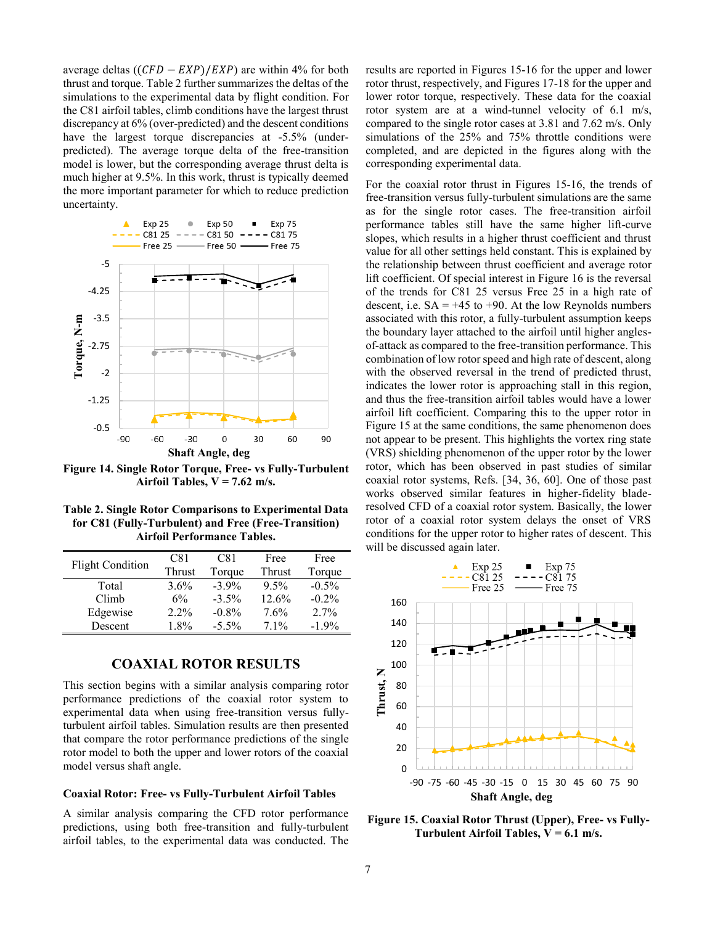average deltas  $((CFD - EXP)/EXP)$  are within 4% for both thrust and torque. Table 2 further summarizes the deltas of the simulations to the experimental data by flight condition. For the C81 airfoil tables, climb conditions have the largest thrust discrepancy at 6% (over-predicted) and the descent conditions have the largest torque discrepancies at -5.5% (underpredicted). The average torque delta of the free-transition model is lower, but the corresponding average thrust delta is much higher at 9.5%. In this work, thrust is typically deemed the more important parameter for which to reduce prediction uncertainty.



**Figure 14. Single Rotor Torque, Free- vs Fully-Turbulent Airfoil Tables, V = 7.62 m/s.**

**Table 2. Single Rotor Comparisons to Experimental Data for C81 (Fully-Turbulent) and Free (Free-Transition) Airfoil Performance Tables.**

| <b>Flight Condition</b> | C81     | C81      | Free   | Free     |
|-------------------------|---------|----------|--------|----------|
|                         | Thrust  | Torque   | Thrust | Torque   |
| Total                   | 3.6%    | $-3.9\%$ | 9.5%   | $-0.5\%$ |
| Climb                   | 6%      | $-3.5\%$ | 12.6%  | $-0.2\%$ |
| Edgewise                | $2.2\%$ | $-0.8\%$ | 7.6%   | 2.7%     |
| Descent                 | 18%     | $-5.5\%$ | $71\%$ | $-1.9\%$ |

### **COAXIAL ROTOR RESULTS**

This section begins with a similar analysis comparing rotor performance predictions of the coaxial rotor system to experimental data when using free-transition versus fullyturbulent airfoil tables. Simulation results are then presented that compare the rotor performance predictions of the single rotor model to both the upper and lower rotors of the coaxial model versus shaft angle.

#### **Coaxial Rotor: Free- vs Fully-Turbulent Airfoil Tables**

A similar analysis comparing the CFD rotor performance predictions, using both free-transition and fully-turbulent airfoil tables, to the experimental data was conducted. The results are reported in Figures 15-16 for the upper and lower rotor thrust, respectively, and Figures 17-18 for the upper and lower rotor torque, respectively. These data for the coaxial rotor system are at a wind-tunnel velocity of 6.1 m/s, compared to the single rotor cases at 3.81 and 7.62 m/s. Only simulations of the 25% and 75% throttle conditions were completed, and are depicted in the figures along with the corresponding experimental data.

For the coaxial rotor thrust in Figures 15-16, the trends of free-transition versus fully-turbulent simulations are the same as for the single rotor cases. The free-transition airfoil performance tables still have the same higher lift-curve slopes, which results in a higher thrust coefficient and thrust value for all other settings held constant. This is explained by the relationship between thrust coefficient and average rotor lift coefficient. Of special interest in Figure 16 is the reversal of the trends for C81 25 versus Free 25 in a high rate of descent, i.e.  $SA = +45$  to  $+90$ . At the low Reynolds numbers associated with this rotor, a fully-turbulent assumption keeps the boundary layer attached to the airfoil until higher anglesof-attack as compared to the free-transition performance. This combination of low rotor speed and high rate of descent, along with the observed reversal in the trend of predicted thrust, indicates the lower rotor is approaching stall in this region, and thus the free-transition airfoil tables would have a lower airfoil lift coefficient. Comparing this to the upper rotor in Figure 15 at the same conditions, the same phenomenon does not appear to be present. This highlights the vortex ring state (VRS) shielding phenomenon of the upper rotor by the lower rotor, which has been observed in past studies of similar coaxial rotor systems, Refs. [34, 36, 60]. One of those past works observed similar features in higher-fidelity bladeresolved CFD of a coaxial rotor system. Basically, the lower rotor of a coaxial rotor system delays the onset of VRS conditions for the upper rotor to higher rates of descent. This will be discussed again later.



**Figure 15. Coaxial Rotor Thrust (Upper), Free- vs Fully-Turbulent Airfoil Tables, V = 6.1 m/s.**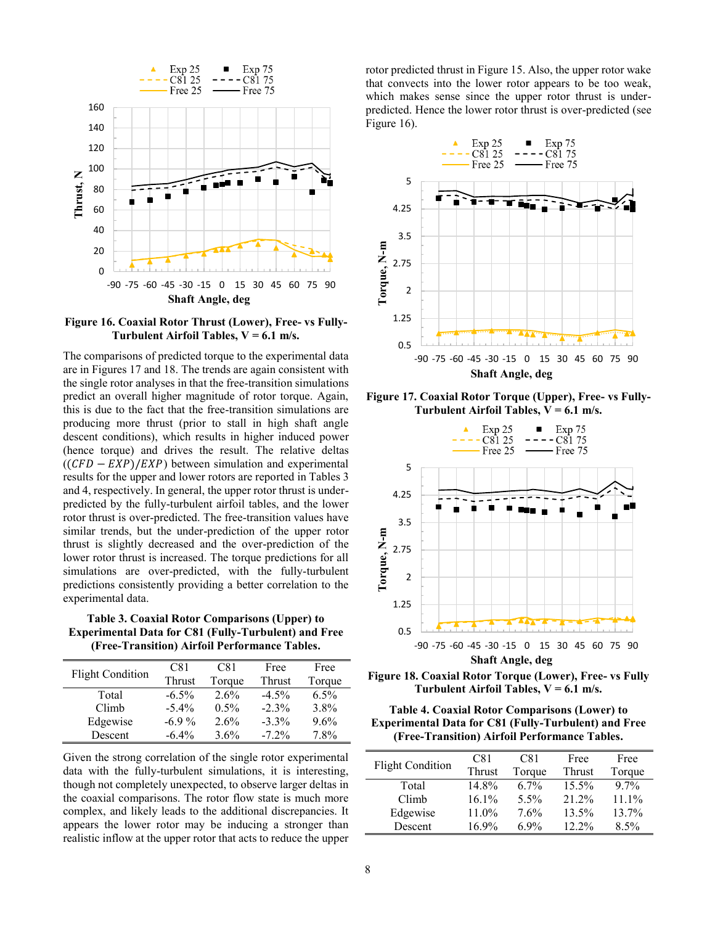

**Figure 16. Coaxial Rotor Thrust (Lower), Free- vs Fully-Turbulent Airfoil Tables, V = 6.1 m/s.**

The comparisons of predicted torque to the experimental data are in Figures 17 and 18. The trends are again consistent with the single rotor analyses in that the free-transition simulations predict an overall higher magnitude of rotor torque. Again, this is due to the fact that the free-transition simulations are producing more thrust (prior to stall in high shaft angle descent conditions), which results in higher induced power (hence torque) and drives the result. The relative deltas  $((CFD - EXP)/EXP)$  between simulation and experimental results for the upper and lower rotors are reported in Tables 3 and 4, respectively. In general, the upper rotor thrust is underpredicted by the fully-turbulent airfoil tables, and the lower rotor thrust is over-predicted. The free-transition values have similar trends, but the under-prediction of the upper rotor thrust is slightly decreased and the over-prediction of the lower rotor thrust is increased. The torque predictions for all simulations are over-predicted, with the fully-turbulent predictions consistently providing a better correlation to the experimental data.

**Table 3. Coaxial Rotor Comparisons (Upper) to Experimental Data for C81 (Fully-Turbulent) and Free (Free-Transition) Airfoil Performance Tables.**

| <b>Flight Condition</b> | C81      | C81     | Free     | Free   |
|-------------------------|----------|---------|----------|--------|
|                         | Thrust   | Torque  | Thrust   | Torque |
| Total                   | $-6.5\%$ | 2.6%    | $-4.5\%$ | 6.5%   |
| Climb                   | $-5.4\%$ | $0.5\%$ | $-2.3\%$ | 3.8%   |
| Edgewise                | $-6.9\%$ | 2.6%    | $-3.3\%$ | 9.6%   |
| Descent                 | $-6.4\%$ | $3.6\%$ | $-72%$   | 7.8%   |

Given the strong correlation of the single rotor experimental data with the fully-turbulent simulations, it is interesting, though not completely unexpected, to observe larger deltas in the coaxial comparisons. The rotor flow state is much more complex, and likely leads to the additional discrepancies. It appears the lower rotor may be inducing a stronger than realistic inflow at the upper rotor that acts to reduce the upper rotor predicted thrust in Figure 15. Also, the upper rotor wake that convects into the lower rotor appears to be too weak, which makes sense since the upper rotor thrust is underpredicted. Hence the lower rotor thrust is over-predicted (see Figure 16).



**Figure 17. Coaxial Rotor Torque (Upper), Free- vs Fully-Turbulent Airfoil Tables, V = 6.1 m/s.**



**Figure 18. Coaxial Rotor Torque (Lower), Free- vs Fully Turbulent Airfoil Tables, V = 6.1 m/s.**

**Table 4. Coaxial Rotor Comparisons (Lower) to Experimental Data for C81 (Fully-Turbulent) and Free (Free-Transition) Airfoil Performance Tables.**

|                         | C81           | C81     | Free          | Free     |
|-------------------------|---------------|---------|---------------|----------|
| <b>Flight Condition</b> | <b>Thrust</b> | Torque  | <b>Thrust</b> | Torque   |
| Total                   | 14.8%         | $6.7\%$ | $15.5\%$      | $97\%$   |
| Climb                   | $16.1\%$      | $5.5\%$ | 21.2%         | $11.1\%$ |
| Edgewise                | 11.0%         | 7.6%    | 13.5%         | 13.7%    |
| Descent                 | $16.9\%$      | 69%     | $12.2\%$      | 8.5%     |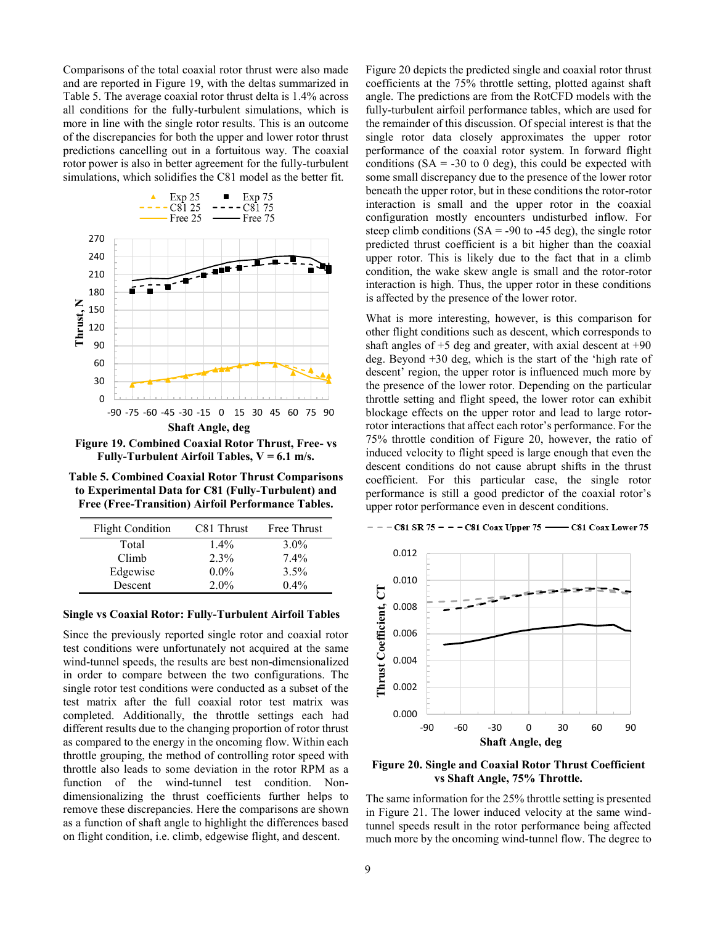Comparisons of the total coaxial rotor thrust were also made and are reported in Figure 19, with the deltas summarized in Table 5. The average coaxial rotor thrust delta is 1.4% across all conditions for the fully-turbulent simulations, which is more in line with the single rotor results. This is an outcome of the discrepancies for both the upper and lower rotor thrust predictions cancelling out in a fortuitous way. The coaxial rotor power is also in better agreement for the fully-turbulent simulations, which solidifies the C81 model as the better fit.



**Figure 19. Combined Coaxial Rotor Thrust, Free- vs Fully-Turbulent Airfoil Tables, V = 6.1 m/s.**

**Table 5. Combined Coaxial Rotor Thrust Comparisons to Experimental Data for C81 (Fully-Turbulent) and Free (Free-Transition) Airfoil Performance Tables.**

| <b>Flight Condition</b> | C81 Thrust | Free Thrust |
|-------------------------|------------|-------------|
| Total                   | $1.4\%$    | $3.0\%$     |
| Climb                   | 2.3%       | $7.4\%$     |
| Edgewise                | $0.0\%$    | 3.5%        |
| Descent                 | $2.0\%$    | $0.4\%$     |

#### **Single vs Coaxial Rotor: Fully-Turbulent Airfoil Tables**

Since the previously reported single rotor and coaxial rotor test conditions were unfortunately not acquired at the same wind-tunnel speeds, the results are best non-dimensionalized in order to compare between the two configurations. The single rotor test conditions were conducted as a subset of the test matrix after the full coaxial rotor test matrix was completed. Additionally, the throttle settings each had different results due to the changing proportion of rotor thrust as compared to the energy in the oncoming flow. Within each throttle grouping, the method of controlling rotor speed with throttle also leads to some deviation in the rotor RPM as a function of the wind-tunnel test condition. Nondimensionalizing the thrust coefficients further helps to remove these discrepancies. Here the comparisons are shown as a function of shaft angle to highlight the differences based on flight condition, i.e. climb, edgewise flight, and descent.

Figure 20 depicts the predicted single and coaxial rotor thrust coefficients at the 75% throttle setting, plotted against shaft angle. The predictions are from the RotCFD models with the fully-turbulent airfoil performance tables, which are used for the remainder of this discussion. Of special interest is that the single rotor data closely approximates the upper rotor performance of the coaxial rotor system. In forward flight conditions  $(SA = -30 \text{ to } 0 \text{ deg})$ , this could be expected with some small discrepancy due to the presence of the lower rotor beneath the upper rotor, but in these conditions the rotor-rotor interaction is small and the upper rotor in the coaxial configuration mostly encounters undisturbed inflow. For steep climb conditions  $(SA = -90 \text{ to } -45 \text{ deg})$ , the single rotor predicted thrust coefficient is a bit higher than the coaxial upper rotor. This is likely due to the fact that in a climb condition, the wake skew angle is small and the rotor-rotor interaction is high. Thus, the upper rotor in these conditions is affected by the presence of the lower rotor.

What is more interesting, however, is this comparison for other flight conditions such as descent, which corresponds to shaft angles of  $+5$  deg and greater, with axial descent at  $+90$ deg. Beyond +30 deg, which is the start of the 'high rate of descent' region, the upper rotor is influenced much more by the presence of the lower rotor. Depending on the particular throttle setting and flight speed, the lower rotor can exhibit blockage effects on the upper rotor and lead to large rotorrotor interactions that affect each rotor's performance. For the 75% throttle condition of Figure 20, however, the ratio of induced velocity to flight speed is large enough that even the descent conditions do not cause abrupt shifts in the thrust coefficient. For this particular case, the single rotor performance is still a good predictor of the coaxial rotor's upper rotor performance even in descent conditions.

- C81 Coax Lower 75



 $- - -$ C81 SR 75 - - - C81 Coax Upper 75 -

**Figure 20. Single and Coaxial Rotor Thrust Coefficient vs Shaft Angle, 75% Throttle.**

The same information for the 25% throttle setting is presented in Figure 21. The lower induced velocity at the same windtunnel speeds result in the rotor performance being affected much more by the oncoming wind-tunnel flow. The degree to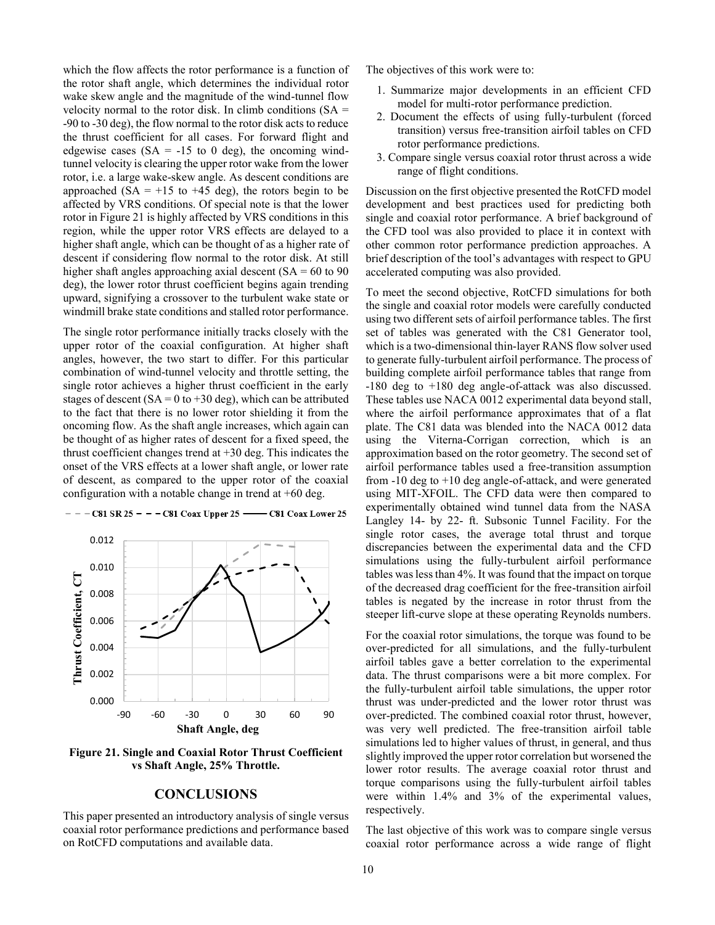which the flow affects the rotor performance is a function of the rotor shaft angle, which determines the individual rotor wake skew angle and the magnitude of the wind-tunnel flow velocity normal to the rotor disk. In climb conditions  $(SA =$ -90 to -30 deg), the flow normal to the rotor disk acts to reduce the thrust coefficient for all cases. For forward flight and edgewise cases  $(SA = -15$  to 0 deg), the oncoming windtunnel velocity is clearing the upper rotor wake from the lower rotor, i.e. a large wake-skew angle. As descent conditions are approached (SA =  $+15$  to  $+45$  deg), the rotors begin to be affected by VRS conditions. Of special note is that the lower rotor in Figure 21 is highly affected by VRS conditions in this region, while the upper rotor VRS effects are delayed to a higher shaft angle, which can be thought of as a higher rate of descent if considering flow normal to the rotor disk. At still higher shaft angles approaching axial descent  $(SA = 60 \text{ to } 90$ deg), the lower rotor thrust coefficient begins again trending upward, signifying a crossover to the turbulent wake state or windmill brake state conditions and stalled rotor performance.

The single rotor performance initially tracks closely with the upper rotor of the coaxial configuration. At higher shaft angles, however, the two start to differ. For this particular combination of wind-tunnel velocity and throttle setting, the single rotor achieves a higher thrust coefficient in the early stages of descent ( $SA = 0$  to  $+30$  deg), which can be attributed to the fact that there is no lower rotor shielding it from the oncoming flow. As the shaft angle increases, which again can be thought of as higher rates of descent for a fixed speed, the thrust coefficient changes trend at +30 deg. This indicates the onset of the VRS effects at a lower shaft angle, or lower rate of descent, as compared to the upper rotor of the coaxial configuration with a notable change in trend at  $+60$  deg.



#### $- - -$ C81 SR 25 - - - C81 Coax Upper 25 -- C81 Coax Lower 25

**Figure 21. Single and Coaxial Rotor Thrust Coefficient vs Shaft Angle, 25% Throttle.**

#### **CONCLUSIONS**

This paper presented an introductory analysis of single versus coaxial rotor performance predictions and performance based on RotCFD computations and available data.

The objectives of this work were to:

- 1. Summarize major developments in an efficient CFD model for multi-rotor performance prediction.
- 2. Document the effects of using fully-turbulent (forced transition) versus free-transition airfoil tables on CFD rotor performance predictions.
- 3. Compare single versus coaxial rotor thrust across a wide range of flight conditions.

Discussion on the first objective presented the RotCFD model development and best practices used for predicting both single and coaxial rotor performance. A brief background of the CFD tool was also provided to place it in context with other common rotor performance prediction approaches. A brief description of the tool's advantages with respect to GPU accelerated computing was also provided.

To meet the second objective, RotCFD simulations for both the single and coaxial rotor models were carefully conducted using two different sets of airfoil performance tables. The first set of tables was generated with the C81 Generator tool, which is a two-dimensional thin-layer RANS flow solver used to generate fully-turbulent airfoil performance. The process of building complete airfoil performance tables that range from -180 deg to +180 deg angle-of-attack was also discussed. These tables use NACA 0012 experimental data beyond stall, where the airfoil performance approximates that of a flat plate. The C81 data was blended into the NACA 0012 data using the Viterna-Corrigan correction, which is an approximation based on the rotor geometry. The second set of airfoil performance tables used a free-transition assumption from -10 deg to +10 deg angle-of-attack, and were generated using MIT-XFOIL. The CFD data were then compared to experimentally obtained wind tunnel data from the NASA Langley 14- by 22- ft. Subsonic Tunnel Facility. For the single rotor cases, the average total thrust and torque discrepancies between the experimental data and the CFD simulations using the fully-turbulent airfoil performance tables was less than 4%. It was found that the impact on torque of the decreased drag coefficient for the free-transition airfoil tables is negated by the increase in rotor thrust from the steeper lift-curve slope at these operating Reynolds numbers.

For the coaxial rotor simulations, the torque was found to be over-predicted for all simulations, and the fully-turbulent airfoil tables gave a better correlation to the experimental data. The thrust comparisons were a bit more complex. For the fully-turbulent airfoil table simulations, the upper rotor thrust was under-predicted and the lower rotor thrust was over-predicted. The combined coaxial rotor thrust, however, was very well predicted. The free-transition airfoil table simulations led to higher values of thrust, in general, and thus slightly improved the upper rotor correlation but worsened the lower rotor results. The average coaxial rotor thrust and torque comparisons using the fully-turbulent airfoil tables were within 1.4% and 3% of the experimental values, respectively.

The last objective of this work was to compare single versus coaxial rotor performance across a wide range of flight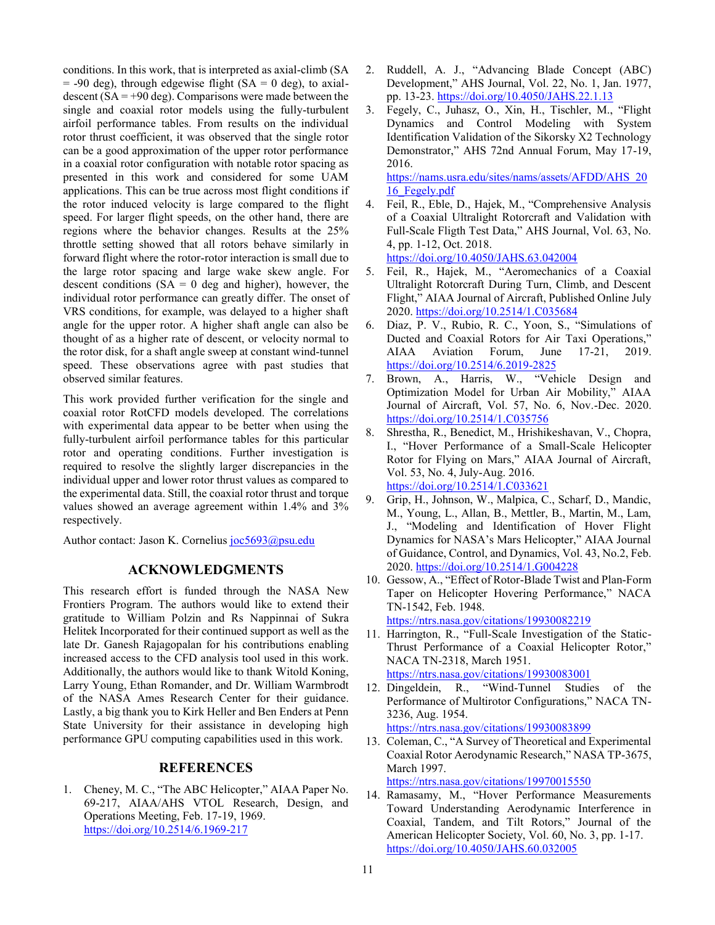conditions. In this work, that is interpreted as axial-climb (SA  $=$  -90 deg), through edgewise flight (SA  $=$  0 deg), to axialdescent  $(SA = +90 \text{ deg})$ . Comparisons were made between the single and coaxial rotor models using the fully-turbulent airfoil performance tables. From results on the individual rotor thrust coefficient, it was observed that the single rotor can be a good approximation of the upper rotor performance in a coaxial rotor configuration with notable rotor spacing as presented in this work and considered for some UAM applications. This can be true across most flight conditions if the rotor induced velocity is large compared to the flight speed. For larger flight speeds, on the other hand, there are regions where the behavior changes. Results at the 25% throttle setting showed that all rotors behave similarly in forward flight where the rotor-rotor interaction is small due to the large rotor spacing and large wake skew angle. For descent conditions  $(SA = 0$  deg and higher), however, the individual rotor performance can greatly differ. The onset of VRS conditions, for example, was delayed to a higher shaft angle for the upper rotor. A higher shaft angle can also be thought of as a higher rate of descent, or velocity normal to the rotor disk, for a shaft angle sweep at constant wind-tunnel speed. These observations agree with past studies that observed similar features.

This work provided further verification for the single and coaxial rotor RotCFD models developed. The correlations with experimental data appear to be better when using the fully-turbulent airfoil performance tables for this particular rotor and operating conditions. Further investigation is required to resolve the slightly larger discrepancies in the individual upper and lower rotor thrust values as compared to the experimental data. Still, the coaxial rotor thrust and torque values showed an average agreement within 1.4% and 3% respectively.

Author contact: Jason K. Cornelius joc5693@psu.edu

#### **ACKNOWLEDGMENTS**

This research effort is funded through the NASA New Frontiers Program. The authors would like to extend their gratitude to William Polzin and Rs Nappinnai of Sukra Helitek Incorporated for their continued support as well as the late Dr. Ganesh Rajagopalan for his contributions enabling increased access to the CFD analysis tool used in this work. Additionally, the authors would like to thank Witold Koning, Larry Young, Ethan Romander, and Dr. William Warmbrodt of the NASA Ames Research Center for their guidance. Lastly, a big thank you to Kirk Heller and Ben Enders at Penn State University for their assistance in developing high performance GPU computing capabilities used in this work.

#### **REFERENCES**

1. Cheney, M. C., "The ABC Helicopter," AIAA Paper No. 69-217, AIAA/AHS VTOL Research, Design, and Operations Meeting, Feb. 17-19, 1969. https://doi.org/10.2514/6.1969-217

- 2. Ruddell, A. J., "Advancing Blade Concept (ABC) Development," AHS Journal, Vol. 22, No. 1, Jan. 1977, pp. 13-23. https://doi.org/10.4050/JAHS.22.1.13
- 3. Fegely, C., Juhasz, O., Xin, H., Tischler, M., "Flight Dynamics and Control Modeling with System Identification Validation of the Sikorsky X2 Technology Demonstrator," AHS 72nd Annual Forum, May 17-19, 2016.

https://nams.usra.edu/sites/nams/assets/AFDD/AHS\_20 16\_Fegely.pdf

- 4. Feil, R., Eble, D., Hajek, M., "Comprehensive Analysis of a Coaxial Ultralight Rotorcraft and Validation with Full-Scale Fligth Test Data," AHS Journal, Vol. 63, No. 4, pp. 1-12, Oct. 2018. https://doi.org/10.4050/JAHS.63.042004
- 5. Feil, R., Hajek, M., "Aeromechanics of a Coaxial Ultralight Rotorcraft During Turn, Climb, and Descent Flight," AIAA Journal of Aircraft, Published Online July 2020. https://doi.org/10.2514/1.C035684
- 6. Diaz, P. V., Rubio, R. C., Yoon, S., "Simulations of Ducted and Coaxial Rotors for Air Taxi Operations," AIAA Aviation Forum, June 17-21, 2019. https://doi.org/10.2514/6.2019-2825
- 7. Brown, A., Harris, W., "Vehicle Design and Optimization Model for Urban Air Mobility," AIAA Journal of Aircraft, Vol. 57, No. 6, Nov.-Dec. 2020. https://doi.org/10.2514/1.C035756
- 8. Shrestha, R., Benedict, M., Hrishikeshavan, V., Chopra, I., "Hover Performance of a Small-Scale Helicopter Rotor for Flying on Mars," AIAA Journal of Aircraft, Vol. 53, No. 4, July-Aug. 2016. https://doi.org/10.2514/1.C033621
- 9. Grip, H., Johnson, W., Malpica, C., Scharf, D., Mandic, M., Young, L., Allan, B., Mettler, B., Martin, M., Lam, J., "Modeling and Identification of Hover Flight Dynamics for NASA's Mars Helicopter," AIAA Journal of Guidance, Control, and Dynamics, Vol. 43, No.2, Feb. 2020. https://doi.org/10.2514/1.G004228
- 10. Gessow, A., "Effect of Rotor-Blade Twist and Plan-Form Taper on Helicopter Hovering Performance," NACA TN-1542, Feb. 1948. https://ntrs.nasa.gov/citations/19930082219

11. Harrington, R., "Full-Scale Investigation of the Static-Thrust Performance of a Coaxial Helicopter Rotor," NACA TN-2318, March 1951. https://ntrs.nasa.gov/citations/19930083001

12. Dingeldein, R., "Wind-Tunnel Studies of the Performance of Multirotor Configurations," NACA TN-3236, Aug. 1954. https://ntrs.nasa.gov/citations/19930083899

13. Coleman, C., "A Survey of Theoretical and Experimental Coaxial Rotor Aerodynamic Research," NASA TP-3675, March 1997.

https://ntrs.nasa.gov/citations/19970015550

14. Ramasamy, M., "Hover Performance Measurements Toward Understanding Aerodynamic Interference in Coaxial, Tandem, and Tilt Rotors," Journal of the American Helicopter Society, Vol. 60, No. 3, pp. 1-17. https://doi.org/10.4050/JAHS.60.032005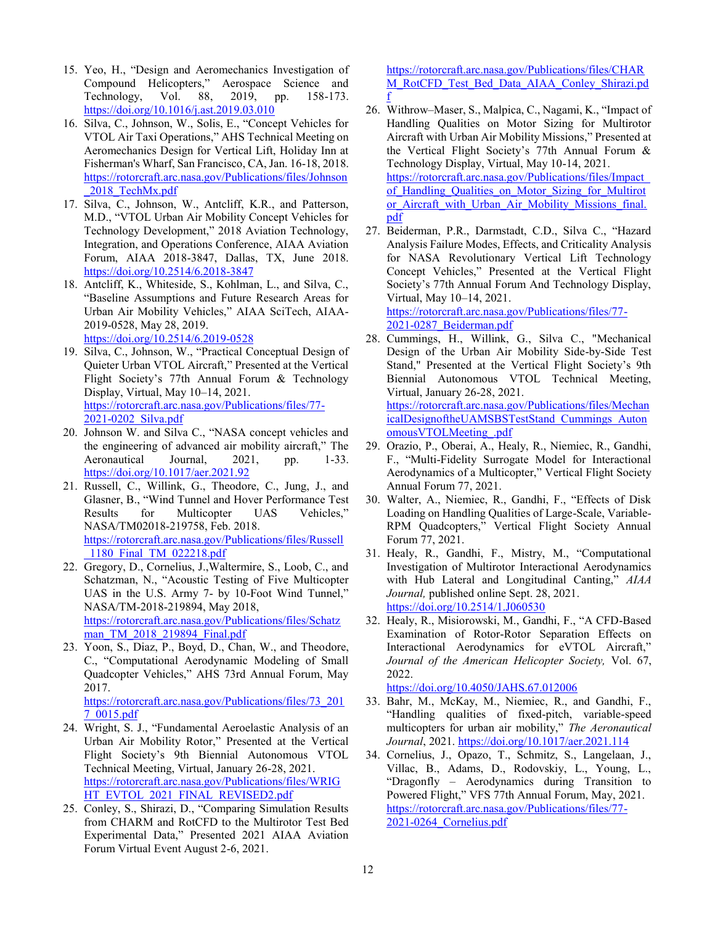- 15. Yeo, H., "Design and Aeromechanics Investigation of Compound Helicopters," Aerospace Science and Technology, Vol. 88, 2019, pp. 158-173. https://doi.org/10.1016/j.ast.2019.03.010
- 16. Silva, C., Johnson, W., Solis, E., "Concept Vehicles for VTOL Air Taxi Operations," AHS Technical Meeting on Aeromechanics Design for Vertical Lift, Holiday Inn at Fisherman's Wharf, San Francisco, CA, Jan. 16-18, 2018. https://rotorcraft.arc.nasa.gov/Publications/files/Johnson \_2018\_TechMx.pdf
- 17. Silva, C., Johnson, W., Antcliff, K.R., and Patterson, M.D., "VTOL Urban Air Mobility Concept Vehicles for Technology Development," 2018 Aviation Technology, Integration, and Operations Conference, AIAA Aviation Forum, AIAA 2018-3847, Dallas, TX, June 2018. https://doi.org/10.2514/6.2018-3847
- 18. Antcliff, K., Whiteside, S., Kohlman, L., and Silva, C., "Baseline Assumptions and Future Research Areas for Urban Air Mobility Vehicles," AIAA SciTech, AIAA-2019-0528, May 28, 2019. https://doi.org/10.2514/6.2019-0528
- 19. Silva, C., Johnson, W., "Practical Conceptual Design of Quieter Urban VTOL Aircraft," Presented at the Vertical Flight Society's 77th Annual Forum & Technology Display, Virtual, May 10–14, 2021. https://rotorcraft.arc.nasa.gov/Publications/files/77- 2021-0202\_Silva.pdf
- 20. Johnson W. and Silva C., "NASA concept vehicles and the engineering of advanced air mobility aircraft," The Aeronautical Journal, 2021, pp. 1-33. https://doi.org/10.1017/aer.2021.92
- 21. Russell, C., Willink, G., Theodore, C., Jung, J., and Glasner, B., "Wind Tunnel and Hover Performance Test Results for Multicopter UAS Vehicles," NASA/TM02018-219758, Feb. 2018. https://rotorcraft.arc.nasa.gov/Publications/files/Russell \_1180\_Final\_TM\_022218.pdf
- 22. Gregory, D., Cornelius, J.,Waltermire, S., Loob, C., and Schatzman, N., "Acoustic Testing of Five Multicopter UAS in the U.S. Army 7- by 10-Foot Wind Tunnel," NASA/TM-2018-219894, May 2018, https://rotorcraft.arc.nasa.gov/Publications/files/Schatz man\_TM\_2018\_219894\_Final.pdf
- 23. Yoon, S., Diaz, P., Boyd, D., Chan, W., and Theodore, C., "Computational Aerodynamic Modeling of Small Quadcopter Vehicles," AHS 73rd Annual Forum, May 2017.

https://rotorcraft.arc.nasa.gov/Publications/files/73\_201 7\_0015.pdf

- 24. Wright, S. J., "Fundamental Aeroelastic Analysis of an Urban Air Mobility Rotor," Presented at the Vertical Flight Society's 9th Biennial Autonomous VTOL Technical Meeting, Virtual, January 26-28, 2021. https://rotorcraft.arc.nasa.gov/Publications/files/WRIG HT\_EVTOL\_2021\_FINAL\_REVISED2.pdf
- 25. Conley, S., Shirazi, D., "Comparing Simulation Results from CHARM and RotCFD to the Multirotor Test Bed Experimental Data," Presented 2021 AIAA Aviation Forum Virtual Event August 2-6, 2021.

https://rotorcraft.arc.nasa.gov/Publications/files/CHAR M\_RotCFD\_Test\_Bed\_Data\_AIAA\_Conley\_Shirazi.pd f

- 26. Withrow–Maser, S., Malpica, C., Nagami, K., "Impact of Handling Qualities on Motor Sizing for Multirotor Aircraft with Urban Air Mobility Missions," Presented at the Vertical Flight Society's 77th Annual Forum & Technology Display, Virtual, May 10-14, 2021. https://rotorcraft.arc.nasa.gov/Publications/files/Impact\_ of\_Handling\_Qualities\_on\_Motor\_Sizing\_for\_Multirot or Aircraft with Urban Air Mobility Missions final. pdf
- 27. Beiderman, P.R., Darmstadt, C.D., Silva C., "Hazard Analysis Failure Modes, Effects, and Criticality Analysis for NASA Revolutionary Vertical Lift Technology Concept Vehicles," Presented at the Vertical Flight Society's 77th Annual Forum And Technology Display, Virtual, May 10–14, 2021. https://rotorcraft.arc.nasa.gov/Publications/files/77-

2021-0287\_Beiderman.pdf

- 28. Cummings, H., Willink, G., Silva C., "Mechanical Design of the Urban Air Mobility Side-by-Side Test Stand," Presented at the Vertical Flight Society's 9th Biennial Autonomous VTOL Technical Meeting, Virtual, January 26-28, 2021. https://rotorcraft.arc.nasa.gov/Publications/files/Mechan icalDesignoftheUAMSBSTestStand\_Cummings\_Auton omousVTOLMeeting\_.pdf
- 29. Orazio, P., Oberai, A., Healy, R., Niemiec, R., Gandhi, F., "Multi-Fidelity Surrogate Model for Interactional Aerodynamics of a Multicopter," Vertical Flight Society Annual Forum 77, 2021.
- 30. Walter, A., Niemiec, R., Gandhi, F., "Effects of Disk Loading on Handling Qualities of Large-Scale, Variable-RPM Quadcopters," Vertical Flight Society Annual Forum 77, 2021.
- 31. Healy, R., Gandhi, F., Mistry, M., "Computational Investigation of Multirotor Interactional Aerodynamics with Hub Lateral and Longitudinal Canting," *AIAA Journal,* published online Sept. 28, 2021. https://doi.org/10.2514/1.J060530
- 32. Healy, R., Misiorowski, M., Gandhi, F., "A CFD-Based Examination of Rotor-Rotor Separation Effects on Interactional Aerodynamics for eVTOL Aircraft," *Journal of the American Helicopter Society,* Vol. 67, 2022.

https://doi.org/10.4050/JAHS.67.012006

- 33. Bahr, M., McKay, M., Niemiec, R., and Gandhi, F., "Handling qualities of fixed-pitch, variable-speed multicopters for urban air mobility," *The Aeronautical Journal*, 2021. https://doi.org/10.1017/aer.2021.114
- 34. Cornelius, J., Opazo, T., Schmitz, S., Langelaan, J., Villac, B., Adams, D., Rodovskiy, L., Young, L., "Dragonfly – Aerodynamics during Transition to Powered Flight," VFS 77th Annual Forum, May, 2021. https://rotorcraft.arc.nasa.gov/Publications/files/77- 2021-0264\_Cornelius.pdf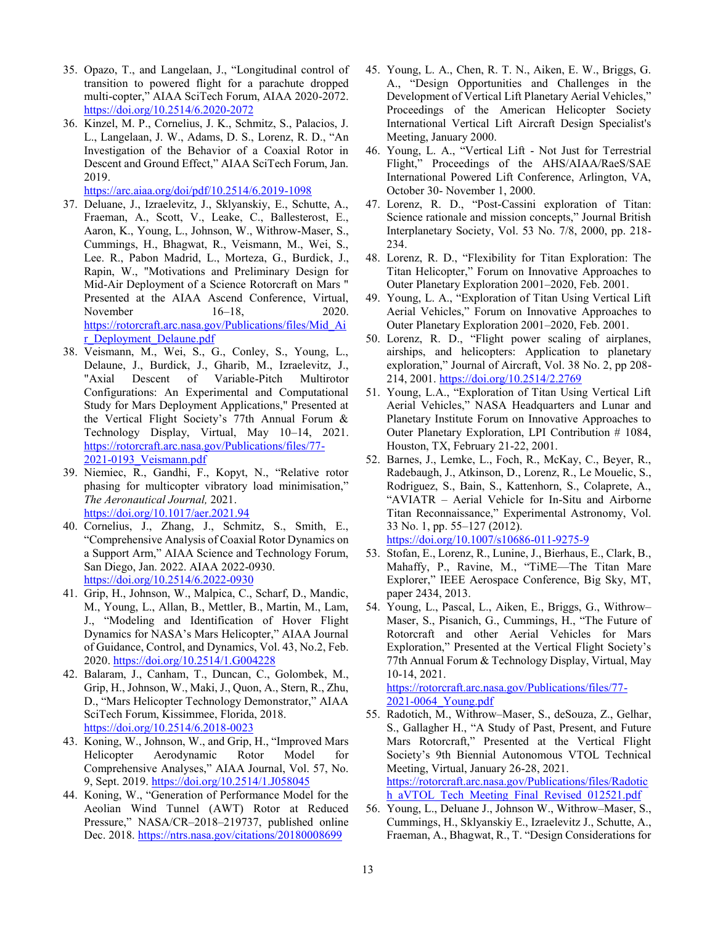- 35. Opazo, T., and Langelaan, J., "Longitudinal control of transition to powered flight for a parachute dropped multi-copter," AIAA SciTech Forum, AIAA 2020-2072. https://doi.org/10.2514/6.2020-2072
- 36. Kinzel, M. P., Cornelius, J. K., Schmitz, S., Palacios, J. L., Langelaan, J. W., Adams, D. S., Lorenz, R. D., "An Investigation of the Behavior of a Coaxial Rotor in Descent and Ground Effect," AIAA SciTech Forum, Jan. 2019.

https://arc.aiaa.org/doi/pdf/10.2514/6.2019-1098

- 37. Deluane, J., Izraelevitz, J., Sklyanskiy, E., Schutte, A., Fraeman, A., Scott, V., Leake, C., Ballesterost, E., Aaron, K., Young, L., Johnson, W., Withrow-Maser, S., Cummings, H., Bhagwat, R., Veismann, M., Wei, S., Lee. R., Pabon Madrid, L., Morteza, G., Burdick, J., Rapin, W., "Motivations and Preliminary Design for Mid-Air Deployment of a Science Rotorcraft on Mars " Presented at the AIAA Ascend Conference, Virtual, November 16–18, 2020. https://rotorcraft.arc.nasa.gov/Publications/files/Mid\_Ai r\_Deployment\_Delaune.pdf
- 38. Veismann, M., Wei, S., G., Conley, S., Young, L., Delaune, J., Burdick, J., Gharib, M., Izraelevitz, J., "Axial Descent of Variable-Pitch Multirotor Configurations: An Experimental and Computational Study for Mars Deployment Applications," Presented at the Vertical Flight Society's 77th Annual Forum & Technology Display, Virtual, May 10–14, 2021. https://rotorcraft.arc.nasa.gov/Publications/files/77- 2021-0193\_Veismann.pdf
- 39. Niemiec, R., Gandhi, F., Kopyt, N., "Relative rotor phasing for multicopter vibratory load minimisation," *The Aeronautical Journal,* 2021. https://doi.org/10.1017/aer.2021.94
- 40. Cornelius, J., Zhang, J., Schmitz, S., Smith, E., "Comprehensive Analysis of Coaxial Rotor Dynamics on a Support Arm," AIAA Science and Technology Forum, San Diego, Jan. 2022. AIAA 2022-0930. https://doi.org/10.2514/6.2022-0930
- 41. Grip, H., Johnson, W., Malpica, C., Scharf, D., Mandic, M., Young, L., Allan, B., Mettler, B., Martin, M., Lam, J., "Modeling and Identification of Hover Flight Dynamics for NASA's Mars Helicopter," AIAA Journal of Guidance, Control, and Dynamics, Vol. 43, No.2, Feb. 2020. https://doi.org/10.2514/1.G004228
- 42. Balaram, J., Canham, T., Duncan, C., Golombek, M., Grip, H., Johnson, W., Maki, J., Quon, A., Stern, R., Zhu, D., "Mars Helicopter Technology Demonstrator," AIAA SciTech Forum, Kissimmee, Florida, 2018. https://doi.org/10.2514/6.2018-0023
- 43. Koning, W., Johnson, W., and Grip, H., "Improved Mars Helicopter Aerodynamic Rotor Model for Comprehensive Analyses," AIAA Journal, Vol. 57, No. 9, Sept. 2019. https://doi.org/10.2514/1.J058045
- 44. Koning, W., "Generation of Performance Model for the Aeolian Wind Tunnel (AWT) Rotor at Reduced Pressure," NASA/CR–2018–219737, published online Dec. 2018. https://ntrs.nasa.gov/citations/20180008699
- 45. Young, L. A., Chen, R. T. N., Aiken, E. W., Briggs, G. A., "Design Opportunities and Challenges in the Development of Vertical Lift Planetary Aerial Vehicles," Proceedings of the American Helicopter Society International Vertical Lift Aircraft Design Specialist's Meeting, January 2000.
- 46. Young, L. A., "Vertical Lift Not Just for Terrestrial Flight," Proceedings of the AHS/AIAA/RaeS/SAE International Powered Lift Conference, Arlington, VA, October 30- November 1, 2000.
- 47. Lorenz, R. D., "Post-Cassini exploration of Titan: Science rationale and mission concepts," Journal British Interplanetary Society, Vol. 53 No. 7/8, 2000, pp. 218- 234.
- 48. Lorenz, R. D., "Flexibility for Titan Exploration: The Titan Helicopter," Forum on Innovative Approaches to Outer Planetary Exploration 2001–2020, Feb. 2001.
- 49. Young, L. A., "Exploration of Titan Using Vertical Lift Aerial Vehicles," Forum on Innovative Approaches to Outer Planetary Exploration 2001–2020, Feb. 2001.
- 50. Lorenz, R. D., "Flight power scaling of airplanes, airships, and helicopters: Application to planetary exploration," Journal of Aircraft, Vol. 38 No. 2, pp 208- 214, 2001. https://doi.org/10.2514/2.2769
- 51. Young, L.A., "Exploration of Titan Using Vertical Lift Aerial Vehicles," NASA Headquarters and Lunar and Planetary Institute Forum on Innovative Approaches to Outer Planetary Exploration, LPI Contribution # 1084, Houston, TX, February 21-22, 2001.
- 52. Barnes, J., Lemke, L., Foch, R., McKay, C., Beyer, R., Radebaugh, J., Atkinson, D., Lorenz, R., Le Mouelic, S., Rodriguez, S., Bain, S., Kattenhorn, S., Colaprete, A., "AVIATR – Aerial Vehicle for In-Situ and Airborne Titan Reconnaissance," Experimental Astronomy, Vol. 33 No. 1, pp. 55–127 (2012). https://doi.org/10.1007/s10686-011-9275-9
- 53. Stofan, E., Lorenz, R., Lunine, J., Bierhaus, E., Clark, B., Mahaffy, P., Ravine, M., "TiME—The Titan Mare Explorer," IEEE Aerospace Conference, Big Sky, MT, paper 2434, 2013.
- 54. Young, L., Pascal, L., Aiken, E., Briggs, G., Withrow– Maser, S., Pisanich, G., Cummings, H., "The Future of Rotorcraft and other Aerial Vehicles for Mars Exploration," Presented at the Vertical Flight Society's 77th Annual Forum & Technology Display, Virtual, May 10-14, 2021.

https://rotorcraft.arc.nasa.gov/Publications/files/77- 2021-0064\_Young.pdf

- 55. Radotich, M., Withrow–Maser, S., deSouza, Z., Gelhar, S., Gallagher H., "A Study of Past, Present, and Future Mars Rotorcraft," Presented at the Vertical Flight Society's 9th Biennial Autonomous VTOL Technical Meeting, Virtual, January 26-28, 2021. https://rotorcraft.arc.nasa.gov/Publications/files/Radotic h aVTOL Tech Meeting Final Revised 012521.pdf
- 56. Young, L., Deluane J., Johnson W., Withrow–Maser, S., Cummings, H., Sklyanskiy E., Izraelevitz J., Schutte, A., Fraeman, A., Bhagwat, R., T. "Design Considerations for